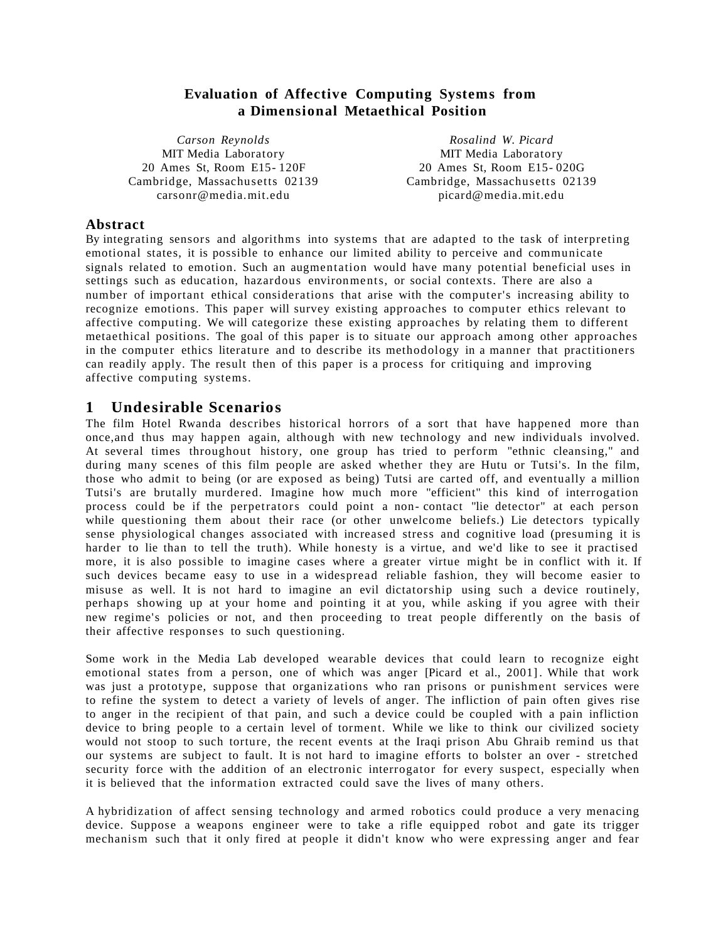### **Evaluation of Affective Computing Systems from a Dimensional Metaethical Position**

*Carson Reynolds* MIT Media Laboratory 20 Ames St, Room E15- 120F Cambridge, Massachusetts 02139 carsonr@media.mit.edu

*Rosalind W. Picard* MIT Media Laboratory 20 Ames St, Room E15- 020G Cambridge, Massachusetts 02139 picard@media.mit.edu

#### **Abstract**

By integrating sensors and algorithms into systems that are adapted to the task of interpreting emotional states, it is possible to enhance our limited ability to perceive and communicate signals related to emotion. Such an augmentation would have many potential beneficial uses in settings such as education, hazardous environments, or social contexts. There are also a number of important ethical considerations that arise with the computer's increasing ability to recognize emotions. This paper will survey existing approaches to computer ethics relevant to affective computing. We will categorize these existing approaches by relating them to different metaethical positions. The goal of this paper is to situate our approach among other approaches in the computer ethics literature and to describe its methodology in a manner that practitioners can readily apply. The result then of this paper is a process for critiquing and improving affective computing systems.

#### **1 Unde sirable Scenarios**

The film Hotel Rwanda describes historical horrors of a sort that have happened more than once,and thus may happen again, although with new technology and new individuals involved. At several times throughout history, one group has tried to perform "ethnic cleansing," and during many scenes of this film people are asked whether they are Hutu or Tutsi's. In the film, those who admit to being (or are exposed as being) Tutsi are carted off, and eventually a million Tutsi's are brutally murdered. Imagine how much more "efficient" this kind of interrogation process could be if the perpetrators could point a non- contact "lie detector" at each person while questioning them about their race (or other unwelcome beliefs.) Lie detectors typically sense physiological changes associated with increased stress and cognitive load (presuming it is harder to lie than to tell the truth). While honesty is a virtue, and we'd like to see it practised more, it is also possible to imagine cases where a greater virtue might be in conflict with it. If such devices became easy to use in a widespread reliable fashion, they will become easier to misuse as well. It is not hard to imagine an evil dictatorship using such a device routinely, perhaps showing up at your home and pointing it at you, while asking if you agree with their new regime's policies or not, and then proceeding to treat people differently on the basis of their affective responses to such questioning.

Some work in the Media Lab developed wearable devices that could learn to recognize eight emotional states from a person, one of which was anger [Picard et al., 2001] . While that work was just a prototype, suppose that organizations who ran prisons or punishment services were to refine the system to detect a variety of levels of anger. The infliction of pain often gives rise to anger in the recipient of that pain, and such a device could be coupled with a pain infliction device to bring people to a certain level of torment. While we like to think our civilized society would not stoop to such torture, the recent events at the Iraqi prison Abu Ghraib remind us that our systems are subject to fault. It is not hard to imagine efforts to bolster an over - stretched security force with the addition of an electronic interrogator for every suspect, especially when it is believed that the information extracted could save the lives of many others.

A hybridization of affect sensing technology and armed robotics could produce a very menacing device. Suppose a weapons engineer were to take a rifle equipped robot and gate its trigger mechanism such that it only fired at people it didn't know who were expressing anger and fear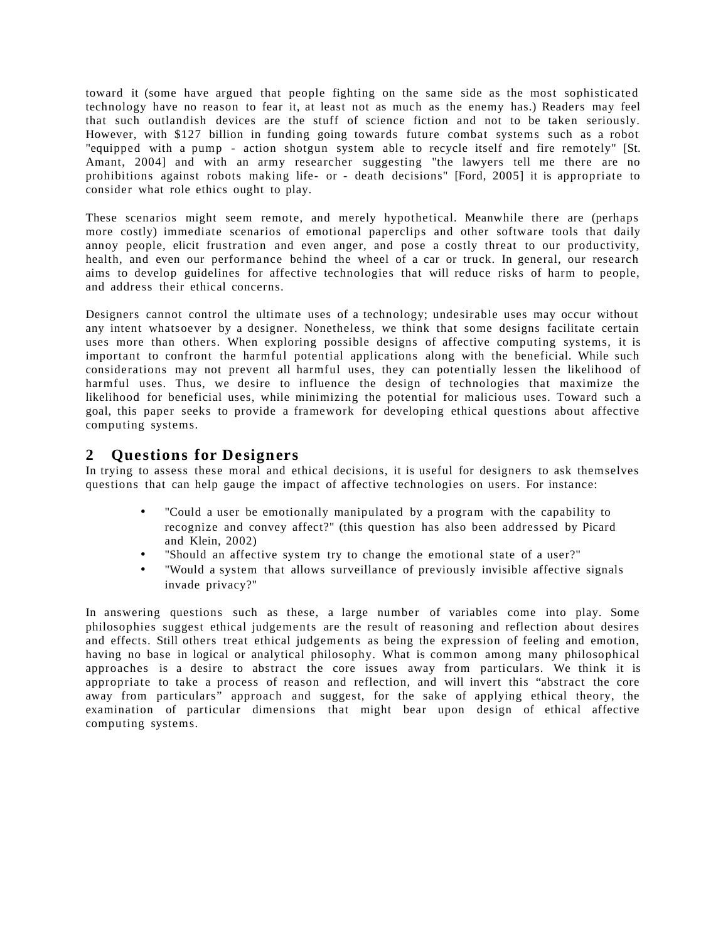toward it (some have argued that people fighting on the same side as the most sophisticated technology have no reason to fear it, at least not as much as the enemy has.) Readers may feel that such outlandish devices are the stuff of science fiction and not to be taken seriously. However, with \$127 billion in funding going towards future combat systems such as a robot "equipped with a pump - action shotgun system able to recycle itself and fire remotely" [St. Amant, 2004] and with an army researcher suggesting "the lawyers tell me there are no prohibitions against robots making life- or - death decisions" [Ford, 2005] it is appropriate to consider what role ethics ought to play.

These scenarios might seem remote, and merely hypothetical. Meanwhile there are (perhaps more costly) immediate scenarios of emotional paperclips and other software tools that daily annoy people, elicit frustration and even anger, and pose a costly threat to our productivity, health, and even our performance behind the wheel of a car or truck. In general, our research aims to develop guidelines for affective technologies that will reduce risks of harm to people, and address their ethical concerns.

Designers cannot control the ultimate uses of a technology; undesirable uses may occur without any intent whatsoever by a designer. Nonetheless, we think that some designs facilitate certain uses more than others. When exploring possible designs of affective computing systems, it is important to confront the harmful potential applications along with the beneficial. While such considerations may not prevent all harmful uses, they can potentially lessen the likelihood of harmful uses. Thus, we desire to influence the design of technologies that maximize the likelihood for beneficial uses, while minimizing the potential for malicious uses. Toward such a goal, this paper seeks to provide a framework for developing ethical questions about affective computing systems.

### **2 Questions for De signers**

In trying to assess these moral and ethical decisions, it is useful for designers to ask themselves questions that can help gauge the impact of affective technologies on users. For instance:

- "Could a user be emotionally manipulated by a program with the capability to recognize and convey affect?" (this question has also been addressed by Picard and Klein, 2002)
- "Should an affective system try to change the emotional state of a user?"
- "Would a system that allows surveillance of previously invisible affective signals invade privacy?"

In answering questions such as these, a large number of variables come into play. Some philosophies suggest ethical judgements are the result of reasoning and reflection about desires and effects. Still others treat ethical judgements as being the expression of feeling and emotion, having no base in logical or analytical philosophy. What is common among many philosophical approaches is a desire to abstract the core issues away from particulars. We think it is appropriate to take a process of reason and reflection, and will invert this "abstract the core away from particulars" approach and suggest, for the sake of applying ethical theory, the examination of particular dimensions that might bear upon design of ethical affective computing systems.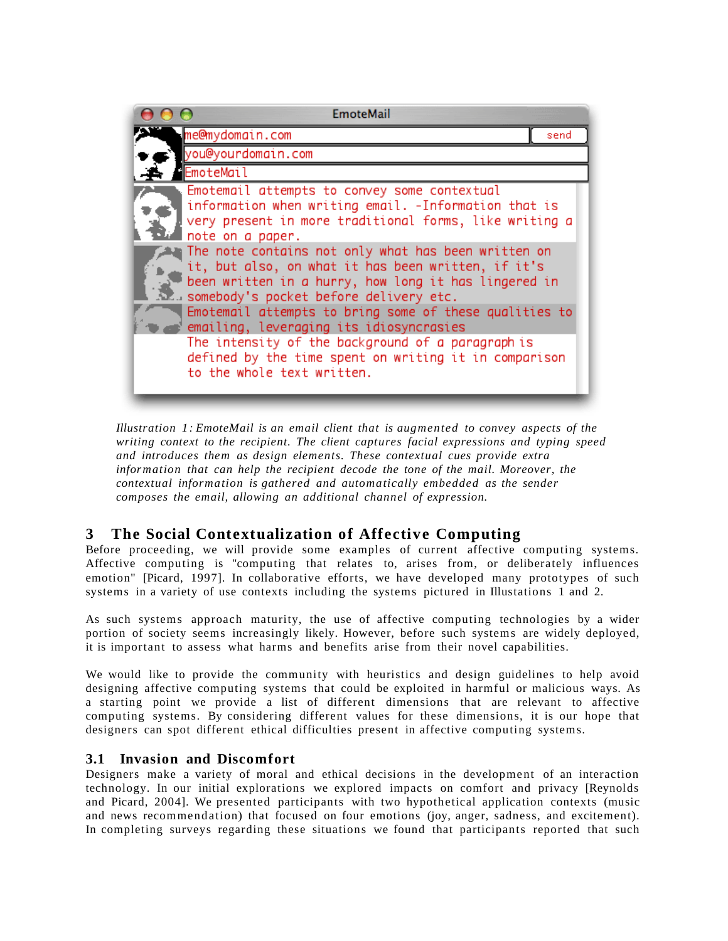| <b>EmoteMail</b>                                                                                                                                                                                            |      |
|-------------------------------------------------------------------------------------------------------------------------------------------------------------------------------------------------------------|------|
| me@mydomain.com                                                                                                                                                                                             | send |
| you@yourdomain.com                                                                                                                                                                                          |      |
| EmoteMail                                                                                                                                                                                                   |      |
| Emotemail attempts to convey some contextual<br>information when writing email. -Information that is<br>very present in more traditional forms, like writing a<br>note on a paper.                          |      |
| The note contains not only what has been written on<br>it, but also, on what it has been written, if it's<br>been written in a hurry, how long it has lingered in<br>somebody's pocket before delivery etc. |      |
| Emotemail attempts to bring some of these qualities to<br>emailing, leveraging its idiosyncrasies                                                                                                           |      |
| The intensity of the background of a paragraph is<br>defined by the time spent on writing it in comparison<br>to the whole text written.                                                                    |      |

*Illustration 1: EmoteMail is an email client that is augmented to convey aspects of the writing context to the recipient. The client captures facial expressions and typing speed and introduces them as design elements. These contextual cues provide extra information that can help the recipient decode the tone of the mail. Moreover, the contextual information is gathered and automatically embedded as the sender composes the email, allowing an additional channel of expression.*

# **3 The Social Contextualization of Affective Computing**

Before proceeding, we will provide some examples of current affective computing systems. Affective computing is "computing that relates to, arises from, or deliberately influences emotion" [Picard, 1997]. In collaborative efforts, we have developed many prototypes of such systems in a variety of use contexts including the systems pictured in Illustations 1 and 2.

As such systems approach maturity, the use of affective computing technologies by a wider portion of society seems increasingly likely. However, before such systems are widely deployed, it is important to assess what harms and benefits arise from their novel capabilities.

We would like to provide the community with heuristics and design guidelines to help avoid designing affective computing systems that could be exploited in harmful or malicious ways. As a starting point we provide a list of different dimensions that are relevant to affective computing systems. By considering different values for these dimensions, it is our hope that designers can spot different ethical difficulties present in affective computing systems.

### **3.1 Invasion and Discomfort**

Designers make a variety of moral and ethical decisions in the development of an interaction technology. In our initial explorations we explored impacts on comfort and privacy [Reynolds and Picard, 2004]. We presented participants with two hypothetical application contexts (music and news recommendation) that focused on four emotions (joy, anger, sadness, and excitement). In completing surveys regarding these situations we found that participants reported that such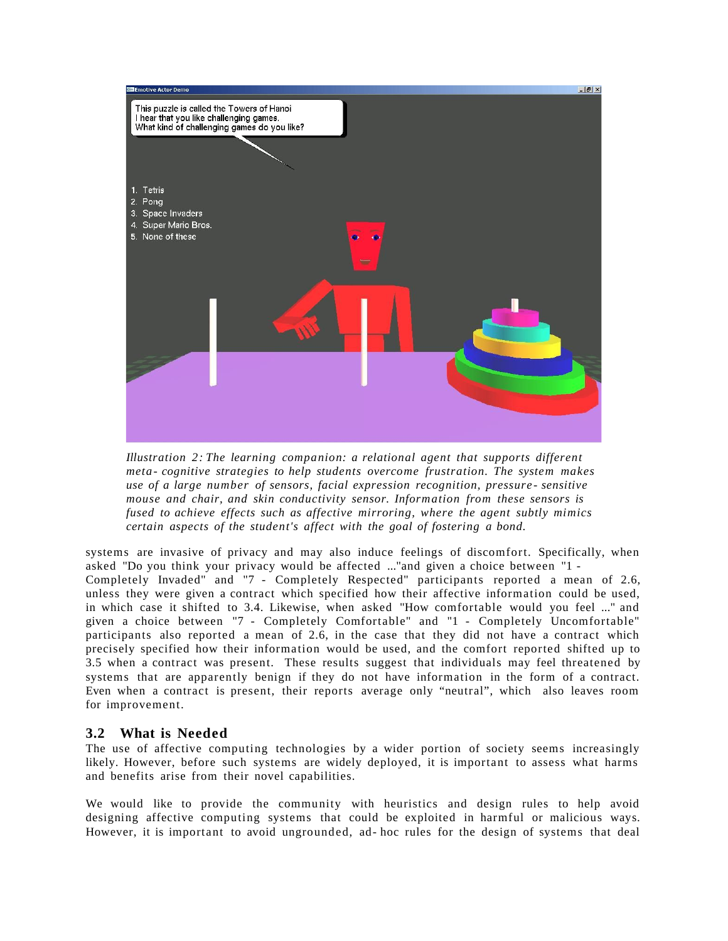

*Illustration 2: The learning companion: a relational agent that supports different meta- cognitive strategies to help students overcome frustration. The system makes use of a large number of sensors, facial expression recognition, pressure - sensitive mouse and chair, and skin conductivity sensor. Information from these sensors is fused to achieve effects such as affective mirroring, where the agent subtly mimics certain aspects of the student's affect with the goal of fostering a bond.*

systems are invasive of privacy and may also induce feelings of discomfort. Specifically, when asked "Do you think your privacy would be affected ..."and given a choice between "1 - Completely Invaded" and "7 - Completely Respected" participants reported a mean of 2.6, unless they were given a contract which specified how their affective information could be used, in which case it shifted to 3.4. Likewise, when asked "How comfortable would you feel ..." and given a choice between "7 - Completely Comfortable" and "1 - Completely Uncomfortable" participants also reported a mean of 2.6, in the case that they did not have a contract which precisely specified how their information would be used, and the comfort reported shifted up to 3.5 when a contract was present. These results suggest that individuals may feel threatened by systems that are apparently benign if they do not have information in the form of a contract. Even when a contract is present, their reports average only "neutral", which also leaves room for improvement.

#### **3.2 What is Needed**

The use of affective computing technologies by a wider portion of society seems increasingly likely. However, before such systems are widely deployed, it is important to assess what harms and benefits arise from their novel capabilities.

We would like to provide the community with heuristics and design rules to help avoid designing affective computing systems that could be exploited in harmful or malicious ways. However, it is important to avoid ungrounded, ad- hoc rules for the design of systems that deal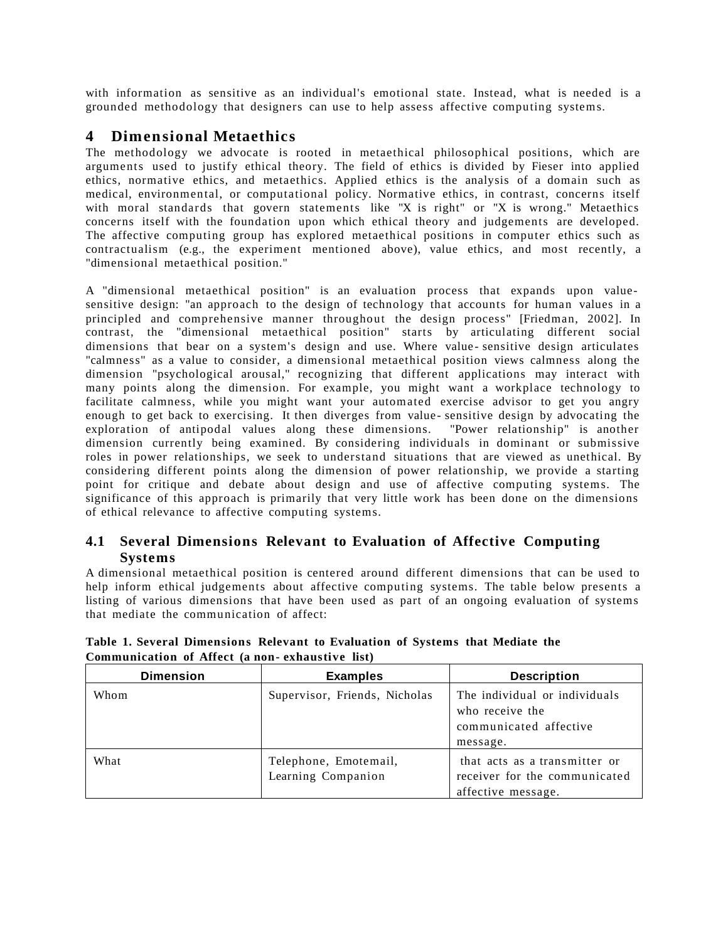with information as sensitive as an individual's emotional state. Instead, what is needed is a grounded methodology that designers can use to help assess affective computing systems.

### **4 Dimensional Metaethics**

The methodology we advocate is rooted in metaethical philosophical positions, which are arguments used to justify ethical theory. The field of ethics is divided by Fieser into applied ethics, normative ethics, and metaethics. Applied ethics is the analysis of a domain such as medical, environmental, or computational policy. Normative ethics, in contrast, concerns itself with moral standards that govern statements like "X is right" or "X is wrong." Metaethics concerns itself with the foundation upon which ethical theory and judgements are developed. The affective computing group has explored metaethical positions in computer ethics such as contractualism (e.g., the experiment mentioned above), value ethics, and most recently, a "dimensional metaethical position."

A "dimensional metaethical position" is an evaluation process that expands upon valuesensitive design: "an approach to the design of technology that accounts for human values in a principled and comprehensive manner throughout the design process" [Friedman, 2002]. In contrast, the "dimensional metaethical position" starts by articulating different social dimensions that bear on a system's design and use. Where value - sensitive design articulates "calmness" as a value to consider, a dimensional metaethical position views calmness along the dimension "psychological arousal," recognizing that different applications may interact with many points along the dimension. For example, you might want a workplace technology to facilitate calmness, while you might want your automated exercise advisor to get you angry enough to get back to exercising. It then diverges from value- sensitive design by advocating the exploration of antipodal values along these dimensions. "Power relationship" is another dimension currently being examined. By considering individuals in dominant or submissive roles in power relationships, we seek to understand situations that are viewed as unethical. By considering different points along the dimension of power relationship, we provide a starting point for critique and debate about design and use of affective computing systems. The significance of this approach is primarily that very little work has been done on the dimensions of ethical relevance to affective computing systems.

### **4.1 Several Dimensions Relevant to Evaluation of Affective Computing Systems**

A dimensional metaethical position is centered around different dimensions that can be used to help inform ethical judgements about affective computing systems. The table below presents a listing of various dimensions that have been used as part of an ongoing evaluation of systems that mediate the communication of affect:

| <b>Dimension</b> | <b>Examples</b>                             | <b>Description</b>                                                                     |
|------------------|---------------------------------------------|----------------------------------------------------------------------------------------|
| Whom             | Supervisor, Friends, Nicholas               | The individual or individuals<br>who receive the<br>communicated affective<br>message. |
| What             | Telephone, Emotemail,<br>Learning Companion | that acts as a transmitter or<br>receiver for the communicated<br>affective message.   |

**Table 1. Several Dimensions Relevant to Evaluation of Systems that Mediate the Communication of Affect (a non- exhaustive list)**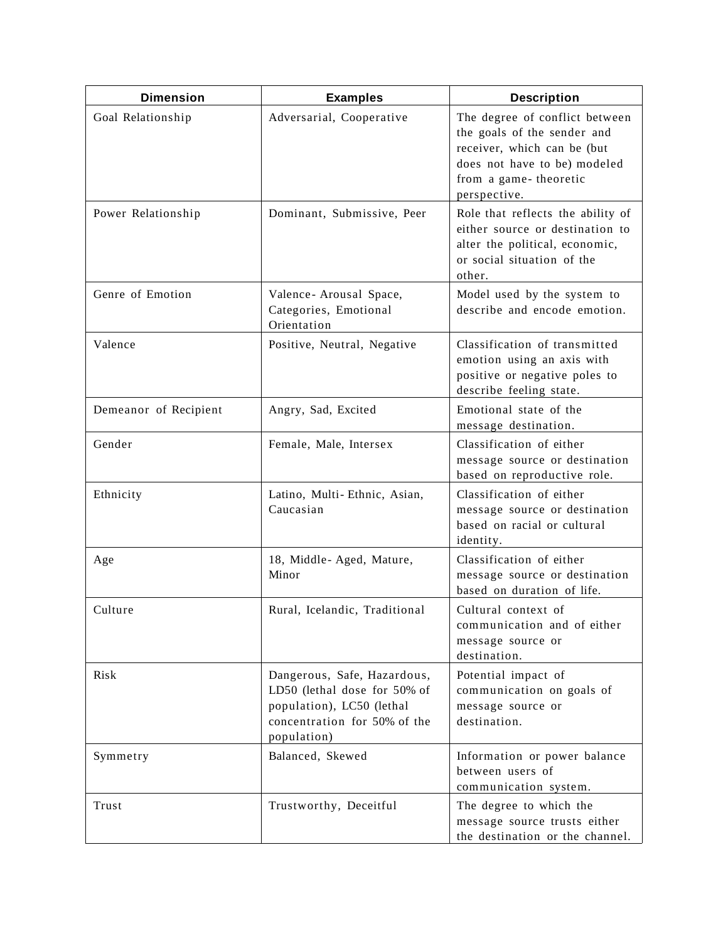| <b>Dimension</b>      | <b>Examples</b>                                                                                                                         | <b>Description</b>                                                                                                                                                    |
|-----------------------|-----------------------------------------------------------------------------------------------------------------------------------------|-----------------------------------------------------------------------------------------------------------------------------------------------------------------------|
| Goal Relationship     | Adversarial, Cooperative                                                                                                                | The degree of conflict between<br>the goals of the sender and<br>receiver, which can be (but<br>does not have to be) modeled<br>from a game-theoretic<br>perspective. |
| Power Relationship    | Dominant, Submissive, Peer                                                                                                              | Role that reflects the ability of<br>either source or destination to<br>alter the political, economic,<br>or social situation of the<br>other.                        |
| Genre of Emotion      | Valence- Arousal Space,<br>Categories, Emotional<br>Orientation                                                                         | Model used by the system to<br>describe and encode emotion.                                                                                                           |
| Valence               | Positive, Neutral, Negative                                                                                                             | Classification of transmitted<br>emotion using an axis with<br>positive or negative poles to<br>describe feeling state.                                               |
| Demeanor of Recipient | Angry, Sad, Excited                                                                                                                     | Emotional state of the<br>message destination.                                                                                                                        |
| Gender                | Female, Male, Intersex                                                                                                                  | Classification of either<br>message source or destination<br>based on reproductive role.                                                                              |
| Ethnicity             | Latino, Multi-Ethnic, Asian,<br>Caucasian                                                                                               | Classification of either<br>message source or destination<br>based on racial or cultural<br>identity.                                                                 |
| Age                   | 18, Middle-Aged, Mature,<br>Minor                                                                                                       | Classification of either<br>message source or destination<br>based on duration of life.                                                                               |
| Culture               | Rural, Icelandic, Traditional                                                                                                           | Cultural context of<br>communication and of either<br>message source or<br>destination.                                                                               |
| Risk                  | Dangerous, Safe, Hazardous,<br>LD50 (lethal dose for 50% of<br>population), LC50 (lethal<br>concentration for 50% of the<br>population) | Potential impact of<br>communication on goals of<br>message source or<br>destination.                                                                                 |
| Symmetry              | Balanced, Skewed                                                                                                                        | Information or power balance<br>between users of<br>communication system.                                                                                             |
| Trust                 | Trustworthy, Deceitful                                                                                                                  | The degree to which the<br>message source trusts either<br>the destination or the channel.                                                                            |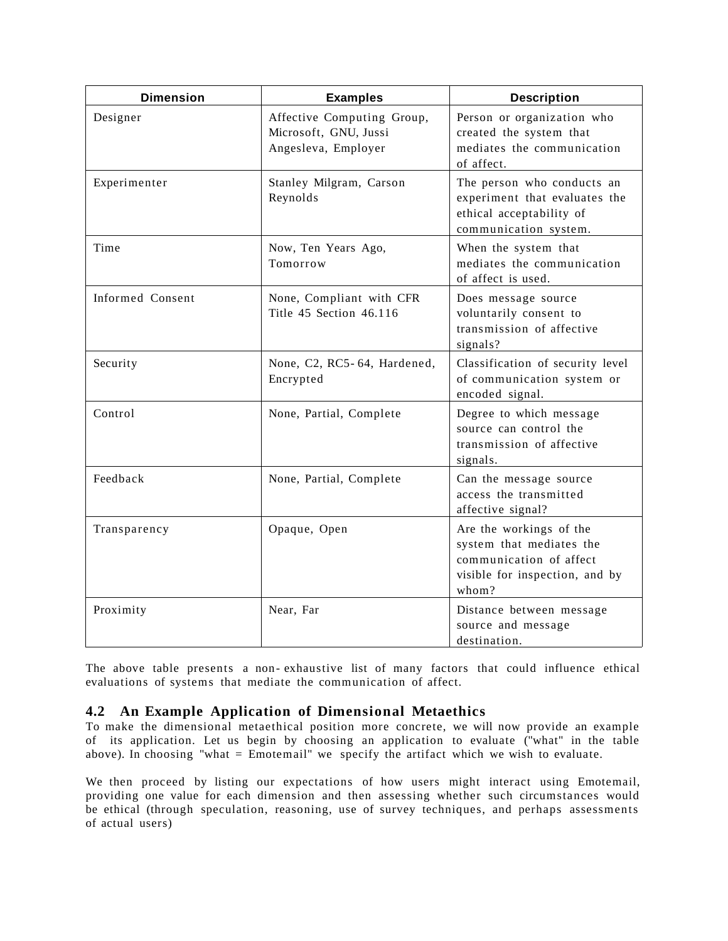| <b>Dimension</b> | <b>Examples</b>                                                            | <b>Description</b>                                                                                                        |
|------------------|----------------------------------------------------------------------------|---------------------------------------------------------------------------------------------------------------------------|
| Designer         | Affective Computing Group,<br>Microsoft, GNU, Jussi<br>Angesleva, Employer | Person or organization who<br>created the system that<br>mediates the communication<br>of affect.                         |
| Experimenter     | Stanley Milgram, Carson<br>Reynolds                                        | The person who conducts an<br>experiment that evaluates the<br>ethical acceptability of<br>communication system.          |
| Time             | Now, Ten Years Ago,<br>Tomorrow                                            | When the system that<br>mediates the communication<br>of affect is used.                                                  |
| Informed Consent | None, Compliant with CFR<br>Title 45 Section 46.116                        | Does message source<br>voluntarily consent to<br>transmission of affective<br>signals?                                    |
| Security         | None, C2, RC5-64, Hardened,<br>Encrypted                                   | Classification of security level<br>of communication system or<br>encoded signal.                                         |
| Control          | None, Partial, Complete                                                    | Degree to which message<br>source can control the<br>transmission of affective<br>signals.                                |
| Feedback         | None, Partial, Complete                                                    | Can the message source<br>access the transmitted<br>affective signal?                                                     |
| Transparency     | Opaque, Open                                                               | Are the workings of the<br>system that mediates the<br>communication of affect<br>visible for inspection, and by<br>whom? |
| Proximity        | Near, Far                                                                  | Distance between message<br>source and message<br>destination.                                                            |

The above table presents a non- exhaustive list of many factors that could influence ethical evaluations of systems that mediate the communication of affect.

### **4.2 An Example Application of Dimensional Metaethics**

To make the dimensional metaethical position more concrete, we will now provide an example of its application. Let us begin by choosing an application to evaluate ("what" in the table above). In choosing "what = Emotemail" we specify the artifact which we wish to evaluate.

We then proceed by listing our expectations of how users might interact using Emotemail, providing one value for each dimension and then assessing whether such circumstances would be ethical (through speculation, reasoning, use of survey techniques, and perhaps assessments of actual users)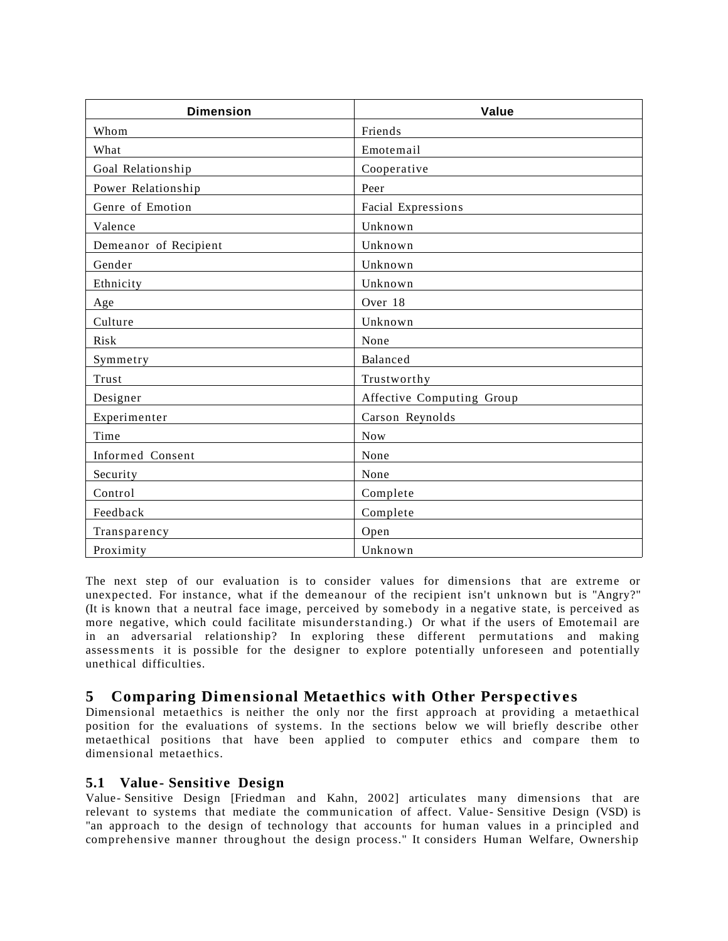| <b>Dimension</b>      | Value                     |
|-----------------------|---------------------------|
| Whom                  | Friends                   |
| What                  | Emotemail                 |
| Goal Relationship     | Cooperative               |
| Power Relationship    | Peer                      |
| Genre of Emotion      | Facial Expressions        |
| Valence               | Unknown                   |
| Demeanor of Recipient | Unknown                   |
| Gender                | Unknown                   |
| Ethnicity             | Unknown                   |
| Age                   | Over 18                   |
| Culture               | Unknown                   |
| Risk                  | None                      |
| Symmetry              | Balanced                  |
| Trust                 | Trustworthy               |
| Designer              | Affective Computing Group |
| Experimenter          | Carson Reynolds           |
| Time                  | <b>Now</b>                |
| Informed Consent      | None                      |
| Security              | None                      |
| Control               | Complete                  |
| Feedback              | Complete                  |
| Transparency          | Open                      |
| Proximity             | Unknown                   |

The next step of our evaluation is to consider values for dimensions that are extreme or unexpected. For instance, what if the demeanour of the recipient isn't unknown but is "Angry?" (It is known that a neutral face image, perceived by somebody in a negative state, is perceived as more negative, which could facilitate misunderstanding.) Or what if the users of Emotemail are in an adversarial relationship? In exploring these different permutations and making assessments it is possible for the designer to explore potentially unforeseen and potentially unethical difficulties.

# **5 Comparing Dimensional Metaethics with Other Perspective s**

Dimensional metaethics is neither the only nor the first approach at providing a metaethical position for the evaluations of systems. In the sections below we will briefly describe other metaethical positions that have been applied to computer ethics and compare them to dimensional metaethics.

#### **5.1 Value - Sensitive Design**

Value- Sensitive Design [Friedman and Kahn, 2002] articulates many dimensions that are relevant to systems that mediate the communication of affect. Value- Sensitive Design (VSD) is "an approach to the design of technology that accounts for human values in a principled and comprehensive manner throughout the design process." It considers Human Welfare, Ownership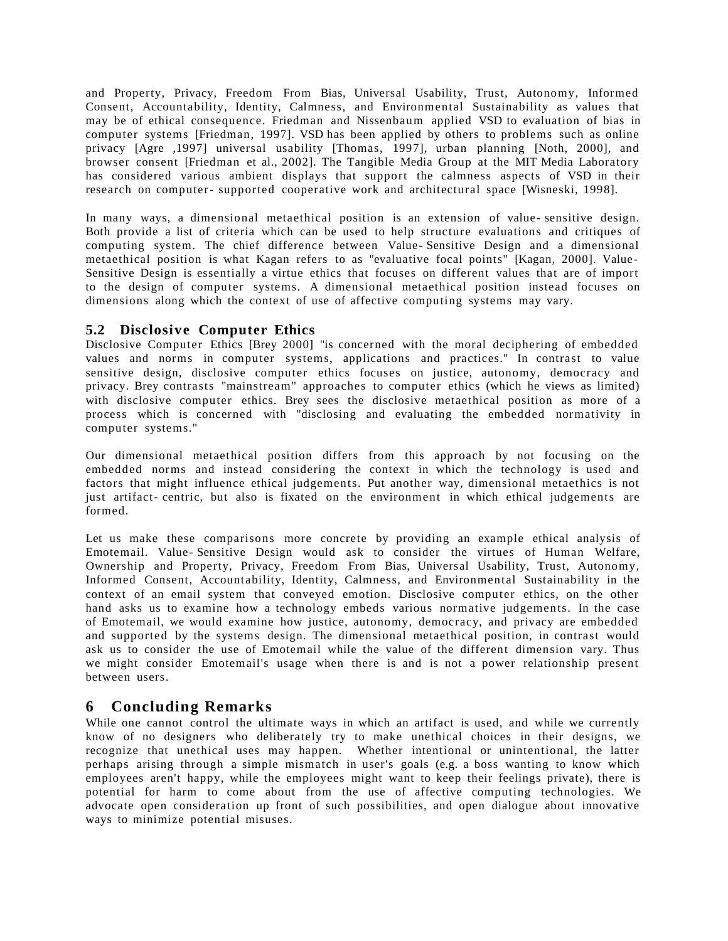and Property, Privacy, Freedom From Bias, Universal Usability, Trust, Autonomy, Informed Consent, Accountability, Identity, Calmness, and Environmental Sustainability as values that may be of ethical consequence. Friedman and Nissenbaum applied VSD to evaluation of bias in computer systems [Friedman, 1997]. VSD has been applied by others to problems such as online privacy [Agre ,1997] universal usability [Thomas, 1997], urban planning [Noth, 2000], and browser consent [Friedman et al., 2002]. The Tangible Media Group at the MIT Media Laboratory has considered various ambient displays that support the calmness aspects of VSD in their research on computer- supported cooperative work and architectural space [Wisneski, 1998].

In many ways, a dimensional metaethical position is an extension of value- sensitive design. Both provide a list of criteria which can be used to help structure evaluations and critiques of computing system. The chief difference between Value- Sensitive Design and a dimensional metaethical position is what Kagan refers to as "evaluative focal points" [Kagan, 2000]. Value-Sensitive Design is essentially a virtue ethics that focuses on different values that are of import to the design of computer systems. A dimensional metaethical position instead focuses on dimensions along which the context of use of affective computing systems may vary.

#### **5.2 Disclosive Computer Ethics**

Disclosive Computer Ethics [Brey 2000] "is concerned with the moral deciphering of embedded values and norms in computer systems, applications and practices." In contrast to value sensitive design, disclosive computer ethics focuses on justice, autonomy, democracy and privacy. Brey contrasts "mainstream" approaches to computer ethics (which he views as limited) with disclosive computer ethics. Brey sees the disclosive metaethical position as more of a process which is concerned with "disclosing and evaluating the embedded normativity in computer systems."

Our dimensional metaethical position differs from this approach by not focusing on the embedded norms and instead considering the context in which the technology is used and factors that might influence ethical judgements. Put another way, dimensional metaethics is not just artifact- centric, but also is fixated on the environment in which ethical judgements are formed.

Let us make these comparisons more concrete by providing an example ethical analysis of Emotemail. Value- Sensitive Design would ask to consider the virtues of Human Welfare, Ownership and Property, Privacy, Freedom From Bias, Universal Usability, Trust, Autonomy, Informed Consent, Accountability, Identity, Calmness, and Environmental Sustainability in the context of an email system that conveyed emotion. Disclosive computer ethics, on the other hand asks us to examine how a technology embeds various normative judgements. In the case of Emotemail, we would examine how justice, autonomy, democracy, and privacy are embedded and supported by the systems design. The dimensional metaethical position, in contrast would ask us to consider the use of Emotemail while the value of the different dimension vary. Thus we might consider Emotemail's usage when there is and is not a power relationship present between users.

## **6 Concluding Remarks**

While one cannot control the ultimate ways in which an artifact is used, and while we currently know of no designers who deliberately try to make unethical choices in their designs, we recognize that unethical uses may happen. Whether intentional or unintentional, the latter perhaps arising through a simple mismatch in user's goals (e.g. a boss wanting to know which employees aren't happy, while the employees might want to keep their feelings private), there is potential for harm to come about from the use of affective computing technologies. We advocate open consideration up front of such possibilities, and open dialogue about innovative ways to minimize potential misuses.